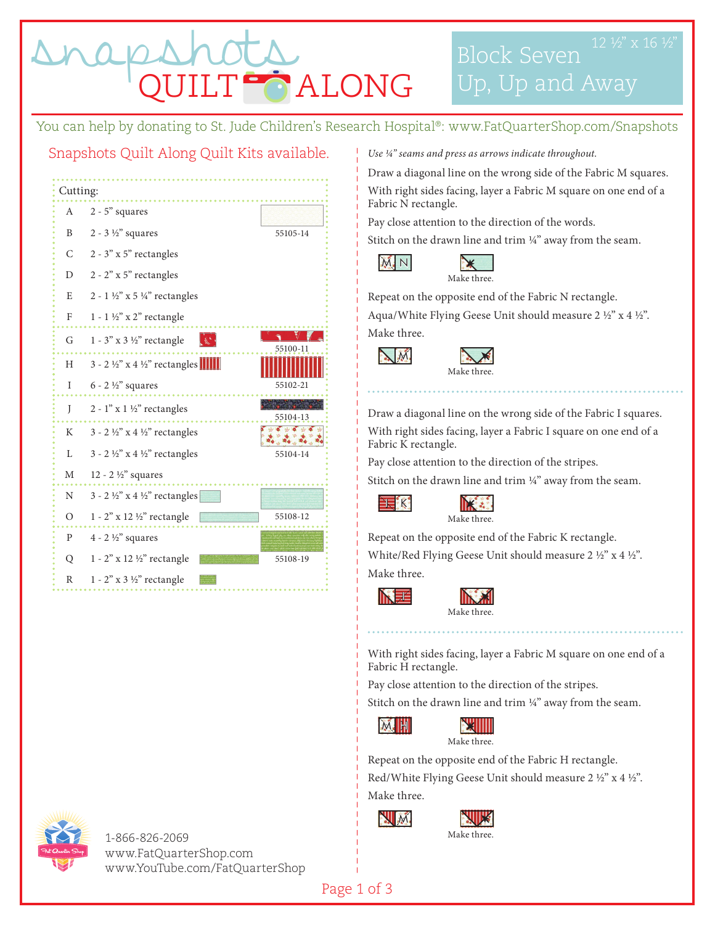T<sup>o</sup> ALONG

Block Seven Up, Up and Away

You can help by donating to St. Jude Children's Research Hospital®: www.FatQuarterShop.com/Snapshots

## Snapshots Quilt Along Quilt Kits available.

| Cutting:     |                                                  |                             |
|--------------|--------------------------------------------------|-----------------------------|
| A            | $2 - 5"$ squares                                 |                             |
| B            | $2 - 3 \frac{1}{2}$ squares                      | 55105-14                    |
| $\mathsf{C}$ | $2 - 3"$ x 5" rectangles                         |                             |
| D            | $2 - 2"$ x 5" rectangles                         |                             |
| E            | $2 - 1$ ½" x 5 ¼" rectangles                     |                             |
| $\mathbf{F}$ | 1 - 1 1/2" x 2" rectangle                        |                             |
| G            | $1 - 3$ " x 3 1/2" rectangle<br>المحيطي          | 55100-11                    |
| Η            | $3 - 2 \frac{1}{2}$ x 4 $\frac{1}{2}$ rectangles |                             |
| I            | $6 - 2 \frac{1}{2}$ squares                      | 55102-21                    |
| J            | $2 - 1$ " x $1 \frac{1}{2}$ " rectangles         | <b>中心大学 人工生</b><br>55104-13 |
| K            | $3 - 2 \frac{1}{2}$ x 4 $\frac{1}{2}$ rectangles | $4 + 46$                    |
| L.           | $3 - 2 \frac{1}{2}$ x 4 $\frac{1}{2}$ rectangles | 55104-14                    |
| M            | 12 - 2 $\frac{1}{2}$ " squares                   |                             |
| N            | $3 - 2 \frac{1}{2}$ x 4 $\frac{1}{2}$ rectangles |                             |
| $\circ$      | 1 - 2" x 12 1/2" rectangle                       | 55108-12                    |
| $\mathbf{P}$ | $4 - 2 \frac{1}{2}$ squares                      |                             |
| Q            | $1 - 2$ " x 12 1/2" rectangle                    | 55108-19                    |
| $\mathbb{R}$ | $1 - 2$ " x 3 1/2" rectangle                     |                             |

*Use 1/4" seams and press as arrows indicate throughout.* 

Draw a diagonal line on the wrong side of the Fabric M squares. With right sides facing, layer a Fabric M square on one end of a Fabric N rectangle.

Pay close attention to the direction of the words.

Stitch on the drawn line and trim  $\frac{1}{4}$ " away from the seam.





Repeat on the opposite end of the Fabric N rectangle.

Aqua/White Flying Geese Unit should measure 2 ½" x 4 ½". Make three.

M.



Draw a diagonal line on the wrong side of the Fabric I squares.

With right sides facing, layer a Fabric I square on one end of a Fabric K rectangle.

Pay close attention to the direction of the stripes.

Stitch on the drawn line and trim  $\frac{1}{4}$ " away from the seam.





Repeat on the opposite end of the Fabric K rectangle. White/Red Flying Geese Unit should measure 2 ½" x 4 ½". Make three.

NEÉ

**IE** K



With right sides facing, layer a Fabric M square on one end of a Fabric H rectangle.

Pay close attention to the direction of the stripes.

Stitch on the drawn line and trim 1/4" away from the seam.



Repeat on the opposite end of the Fabric H rectangle.

Red/White Flying Geese Unit should measure 2 ½" x 4 ½".

Make three.







1-866-826-2069 www.FatQuarterShop.com www.YouTube.com/FatQuarterShop

Page 1 of 3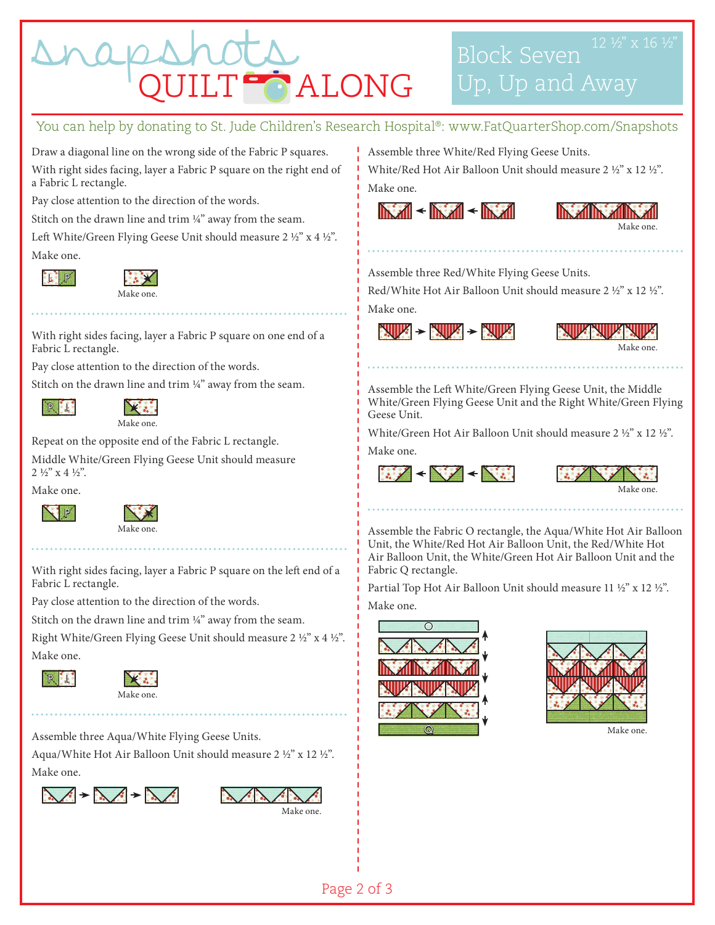

## You can help by donating to St. Jude Children's Research Hospital®: www.FatQuarterShop.com/Snapshots

Draw a diagonal line on the wrong side of the Fabric P squares. With right sides facing, layer a Fabric P square on the right end of a Fabric L rectangle.

Pay close attention to the direction of the words.

Stitch on the drawn line and trim  $\frac{1}{4}$ " away from the seam.

Left White/Green Flying Geese Unit should measure 2 ½" x 4 ½". Make one.



Make one.

With right sides facing, layer a Fabric P square on one end of a Fabric L rectangle.

Pay close attention to the direction of the words.

Stitch on the drawn line and trim  $\frac{1}{4}$ " away from the seam.



米泰 Make one.

Repeat on the opposite end of the Fabric L rectangle.

Middle White/Green Flying Geese Unit should measure  $2\frac{1}{2}$ " x 4  $\frac{1}{2}$ ".

Make one.





With right sides facing, layer a Fabric P square on the left end of a Fabric L rectangle.

Pay close attention to the direction of the words.

Stitch on the drawn line and trim ¼" away from the seam.

Right White/Green Flying Geese Unit should measure 2 ½" x 4 ½". Make one.





Assemble three Aqua/White Flying Geese Units. Aqua/White Hot Air Balloon Unit should measure 2 ½" x 12 ½". Make one.





Assemble three White/Red Flying Geese Units.

White/Red Hot Air Balloon Unit should measure 2 ½" x 12 ½". Make one.

 $\mathbb{N}$  and  $\mathbb{N}$  and  $\mathbb{N}$  and  $\mathbb{N}$  and  $\mathbb{N}$ 



Assemble three Red/White Flying Geese Units.

Red/White Hot Air Balloon Unit should measure 2 ½" x 12 ½". Make one.





Assemble the Left White/Green Flying Geese Unit, the Middle White/Green Flying Geese Unit and the Right White/Green Flying Geese Unit.

White/Green Hot Air Balloon Unit should measure 2 ½" x 12 ½". Make one.

 $\frac{1}{2} \frac{1}{2} \left( \frac{1}{2} \frac{1}{2} \right) + \frac{1}{2} \left( \frac{1}{2} \frac{1}{2} \right)$ 



Assemble the Fabric O rectangle, the Aqua/White Hot Air Balloon Unit, the White/Red Hot Air Balloon Unit, the Red/White Hot Air Balloon Unit, the White/Green Hot Air Balloon Unit and the Fabric Q rectangle.

Partial Top Hot Air Balloon Unit should measure 11 ½" x 12 ½".

Make one.





Make one.